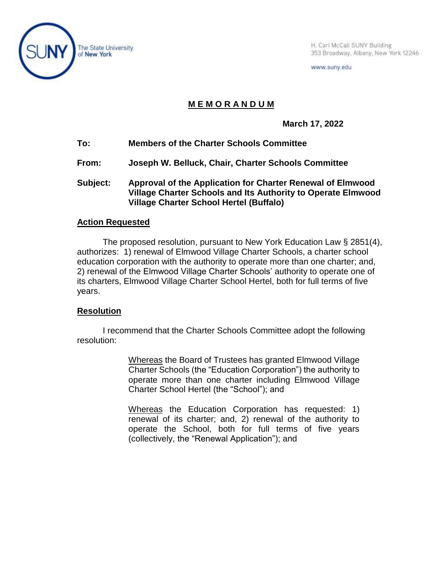

H. Carl McCall SUNY Building 353 Broadway, Albany, New York 12246

www.suny.edu

## **M E M O R A N D U M**

**March 17, 2022**

- **To: Members of the Charter Schools Committee**
- **From: Joseph W. Belluck, Chair, Charter Schools Committee**
- **Subject: Approval of the Application for Charter Renewal of Elmwood Village Charter Schools and Its Authority to Operate Elmwood Village Charter School Hertel (Buffalo)**

## **Action Requested**

The proposed resolution, pursuant to New York Education Law § 2851(4), authorizes: 1) renewal of Elmwood Village Charter Schools, a charter school education corporation with the authority to operate more than one charter; and, 2) renewal of the Elmwood Village Charter Schools' authority to operate one of its charters, Elmwood Village Charter School Hertel, both for full terms of five years.

## **Resolution**

I recommend that the Charter Schools Committee adopt the following resolution:

> Whereas the Board of Trustees has granted Elmwood Village Charter Schools (the "Education Corporation") the authority to operate more than one charter including Elmwood Village Charter School Hertel (the "School"); and

> Whereas the Education Corporation has requested: 1) renewal of its charter; and, 2) renewal of the authority to operate the School, both for full terms of five years (collectively, the "Renewal Application"); and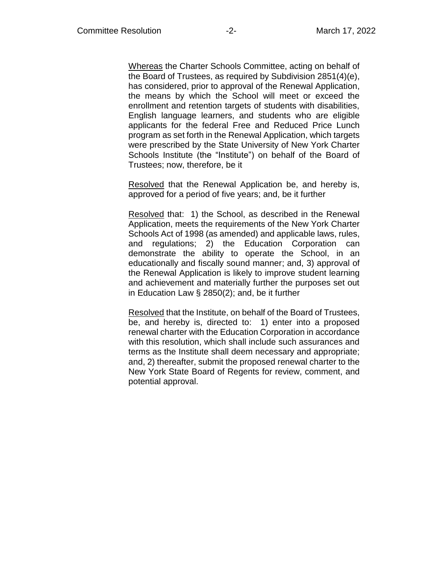Whereas the Charter Schools Committee, acting on behalf of the Board of Trustees, as required by Subdivision 2851(4)(e), has considered, prior to approval of the Renewal Application, the means by which the School will meet or exceed the enrollment and retention targets of students with disabilities, English language learners, and students who are eligible applicants for the federal Free and Reduced Price Lunch program as set forth in the Renewal Application, which targets were prescribed by the State University of New York Charter Schools Institute (the "Institute") on behalf of the Board of Trustees; now, therefore, be it

Resolved that the Renewal Application be, and hereby is, approved for a period of five years; and, be it further

Resolved that: 1) the School, as described in the Renewal Application, meets the requirements of the New York Charter Schools Act of 1998 (as amended) and applicable laws, rules, and regulations; 2) the Education Corporation can demonstrate the ability to operate the School, in an educationally and fiscally sound manner; and, 3) approval of the Renewal Application is likely to improve student learning and achievement and materially further the purposes set out in Education Law § 2850(2); and, be it further

Resolved that the Institute, on behalf of the Board of Trustees, be, and hereby is, directed to: 1) enter into a proposed renewal charter with the Education Corporation in accordance with this resolution, which shall include such assurances and terms as the Institute shall deem necessary and appropriate; and, 2) thereafter, submit the proposed renewal charter to the New York State Board of Regents for review, comment, and potential approval.